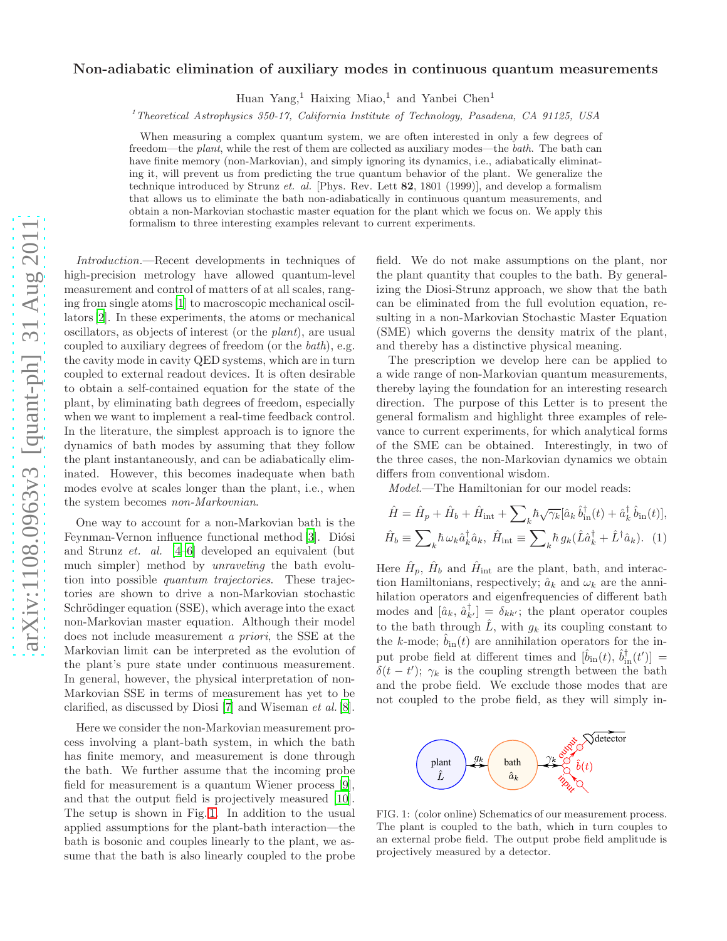## arXiv:1108.0963v3 [quant-ph] 31 Aug 2011 [arXiv:1108.0963v3 \[quant-ph\] 31 Aug 2011](http://arxiv.org/abs/1108.0963v3)

## Non-adiabatic elimination of auxiliary modes in continuous quantum measurements

Huan Yang,<sup>1</sup> Haixing Miao,<sup>1</sup> and Yanbei Chen<sup>1</sup>

<sup>1</sup>Theoretical Astrophysics 350-17, California Institute of Technology, Pasadena, CA 91125, USA

When measuring a complex quantum system, we are often interested in only a few degrees of freedom—the plant, while the rest of them are collected as auxiliary modes—the bath. The bath can have finite memory (non-Markovian), and simply ignoring its dynamics, i.e., adiabatically eliminating it, will prevent us from predicting the true quantum behavior of the plant. We generalize the technique introduced by Strunz et. al. [Phys. Rev. Lett 82, 1801 (1999)], and develop a formalism that allows us to eliminate the bath non-adiabatically in continuous quantum measurements, and obtain a non-Markovian stochastic master equation for the plant which we focus on. We apply this formalism to three interesting examples relevant to current experiments.

Introduction.—Recent developments in techniques of high-precision metrology have allowed quantum-level measurement and control of matters of at all scales, ranging from single atoms [\[1\]](#page-3-0) to macroscopic mechanical oscillators [\[2\]](#page-3-1). In these experiments, the atoms or mechanical oscillators, as objects of interest (or the plant), are usual coupled to auxiliary degrees of freedom (or the bath), e.g. the cavity mode in cavity QED systems, which are in turn coupled to external readout devices. It is often desirable to obtain a self-contained equation for the state of the plant, by eliminating bath degrees of freedom, especially when we want to implement a real-time feedback control. In the literature, the simplest approach is to ignore the dynamics of bath modes by assuming that they follow the plant instantaneously, and can be adiabatically eliminated. However, this becomes inadequate when bath modes evolve at scales longer than the plant, i.e., when the system becomes non-Markovnian.

One way to account for a non-Markovian bath is the Feynman-Vernon influence functional method [\[3\]](#page-3-2). Diósi and Strunz et. al. [\[4](#page-3-3)[–6](#page-3-4)] developed an equivalent (but much simpler) method by unraveling the bath evolution into possible quantum trajectories. These trajectories are shown to drive a non-Markovian stochastic Schrödinger equation (SSE), which average into the exact non-Markovian master equation. Although their model does not include measurement a priori, the SSE at the Markovian limit can be interpreted as the evolution of the plant's pure state under continuous measurement. In general, however, the physical interpretation of non-Markovian SSE in terms of measurement has yet to be clarified, as discussed by Diosi [\[7\]](#page-3-5) and Wiseman et al. [\[8\]](#page-3-6).

Here we consider the non-Markovian measurement process involving a plant-bath system, in which the bath has finite memory, and measurement is done through the bath. We further assume that the incoming probe field for measurement is a quantum Wiener process [\[9\]](#page-3-7), and that the output field is projectively measured [\[10\]](#page-3-8). The setup is shown in Fig. [1.](#page-0-0) In addition to the usual applied assumptions for the plant-bath interaction—the bath is bosonic and couples linearly to the plant, we assume that the bath is also linearly coupled to the probe

field. We do not make assumptions on the plant, nor the plant quantity that couples to the bath. By generalizing the Diosi-Strunz approach, we show that the bath can be eliminated from the full evolution equation, resulting in a non-Markovian Stochastic Master Equation (SME) which governs the density matrix of the plant, and thereby has a distinctive physical meaning.

The prescription we develop here can be applied to a wide range of non-Markovian quantum measurements, thereby laying the foundation for an interesting research direction. The purpose of this Letter is to present the general formalism and highlight three examples of relevance to current experiments, for which analytical forms of the SME can be obtained. Interestingly, in two of the three cases, the non-Markovian dynamics we obtain differs from conventional wisdom.

<span id="page-0-1"></span>Model.—The Hamiltonian for our model reads:

$$
\hat{H} = \hat{H}_p + \hat{H}_b + \hat{H}_{\text{int}} + \sum_k \hbar \sqrt{\gamma_k} [\hat{a}_k \hat{b}_{\text{in}}^\dagger(t) + \hat{a}_k^\dagger \hat{b}_{\text{in}}(t)],
$$
  

$$
\hat{H}_b \equiv \sum_k \hbar \omega_k \hat{a}_k^\dagger \hat{a}_k, \ \hat{H}_{\text{int}} \equiv \sum_k \hbar g_k (\hat{L} \hat{a}_k^\dagger + \hat{L}^\dagger \hat{a}_k).
$$
 (1)

Here  $\hat{H}_p$ ,  $\hat{H}_b$  and  $\hat{H}_{int}$  are the plant, bath, and interaction Hamiltonians, respectively;  $\hat{a}_k$  and  $\omega_k$  are the annihilation operators and eigenfrequencies of different bath modes and  $[\hat{a}_k, \hat{a}_{k'}^{\dagger}] = \delta_{kk'}$ ; the plant operator couples to the bath through  $\hat{L}$ , with  $g_k$  its coupling constant to the k-mode;  $b_{\text{in}}(t)$  are annihilation operators for the input probe field at different times and  $[\hat{b}_{in}(t), \hat{b}_{in}^{\dagger}(t')] =$  $\delta(t-t')$ ;  $\gamma_k$  is the coupling strength between the bath and the probe field. We exclude those modes that are not coupled to the probe field, as they will simply in-



<span id="page-0-0"></span>FIG. 1: (color online) Schematics of our measurement process. The plant is coupled to the bath, which in turn couples to an external probe field. The output probe field amplitude is projectively measured by a detector.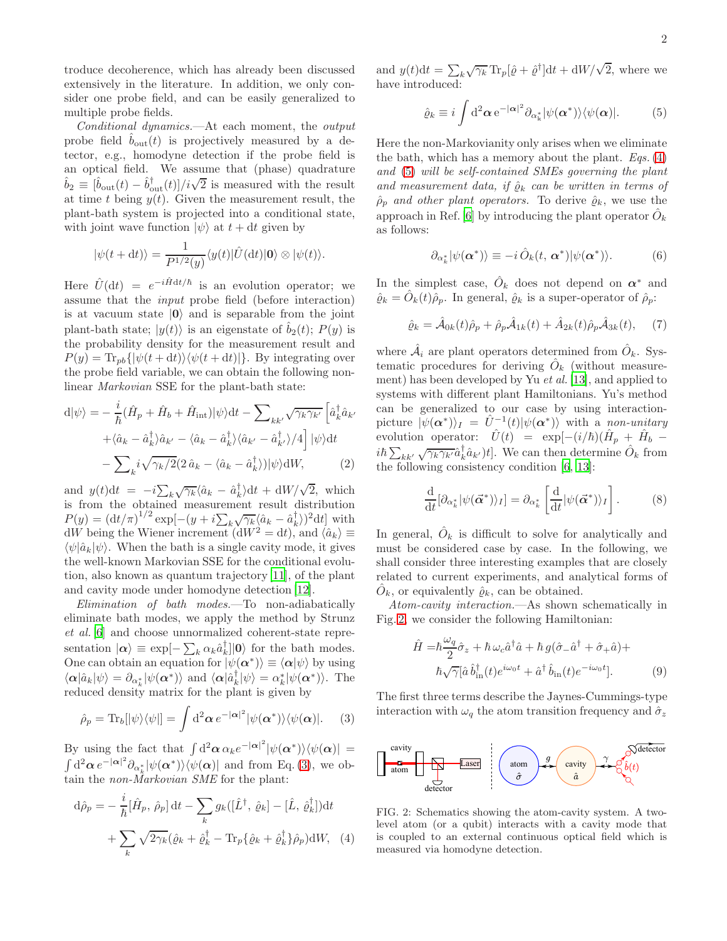troduce decoherence, which has already been discussed extensively in the literature. In addition, we only consider one probe field, and can be easily generalized to multiple probe fields.

Conditional dynamics.—At each moment, the output probe field  $b_{\text{out}}(t)$  is projectively measured by a detector, e.g., homodyne detection if the probe field is an optical field. We assume that (phase) quadrature  $\hat{b}_2 \equiv [\hat{b}_{\text{out}}(t) - \hat{b}_{\text{out}}^{\dagger}(t)]/i\sqrt{2}$  is measured with the result at time t being  $y(t)$ . Given the measurement result, the plant-bath system is projected into a conditional state, with joint wave function  $|\psi\rangle$  at  $t + dt$  given by

$$
|\psi(t+dt)\rangle = \frac{1}{P^{1/2}(y)}\langle y(t)|\hat{U}(\mathrm{d}t)|0\rangle \otimes |\psi(t)\rangle.
$$

Here  $\hat{U}(\mathrm{d}t) = e^{-i\hat{H}\mathrm{d}t/\hbar}$  is an evolution operator; we assume that the input probe field (before interaction) is at vacuum state  $|0\rangle$  and is separable from the joint plant-bath state;  $|y(t)\rangle$  is an eigenstate of  $b_2(t)$ ;  $P(y)$  is the probability density for the measurement result and  $P(y) = \text{Tr}_{pb}\{|\psi(t + dt)\rangle\langle\psi(t + dt)|\}.$  By integrating over the probe field variable, we can obtain the following nonlinear Markovian SSE for the plant-bath state:

$$
d|\psi\rangle = -\frac{i}{\hbar}(\hat{H}_p + \hat{H}_b + \hat{H}_{int})|\psi\rangle dt - \sum_{kk'} \sqrt{\gamma_k \gamma_{k'}} \left[\hat{a}_k^\dagger \hat{a}_{k'} + \langle \hat{a}_k - \hat{a}_k^\dagger \rangle \hat{a}_{k'} - \langle \hat{a}_k - \hat{a}_k^\dagger \rangle \langle \hat{a}_{k'} - \hat{a}_{k'}^\dagger \rangle / 4\right] |\psi\rangle dt - \sum_k i \sqrt{\gamma_k/2} (2 \hat{a}_k - \langle \hat{a}_k - \hat{a}_k^\dagger \rangle) |\psi\rangle dW, \tag{2}
$$

and  $y(t)dt = -i\sum_{k}\sqrt{\gamma_k}\langle \hat{a}_k - \hat{a}_k^{\dagger} \rangle dt + dW/\sqrt{2}$ , which is from the obtained measurement result distribution  $P(y) = (\mathrm{d}t/\pi)^{1/2} \exp[-(y + i \sum_{k} \sqrt{\gamma_k} \langle \hat{a}_k - \hat{a}_k^{\dagger} \rangle)^2 \mathrm{d}t]$  with  $dW$  being the Wiener increment  $(dW^2 = dt)$ , and  $\langle \hat{a}_k \rangle \equiv$  $\langle \psi | \hat{a}_k | \psi \rangle$ . When the bath is a single cavity mode, it gives the well-known Markovian SSE for the conditional evolution, also known as quantum trajectory [\[11\]](#page-3-9), of the plant and cavity mode under homodyne detection [\[12](#page-3-10)].

Elimination of bath modes.—To non-adiabatically eliminate bath modes, we apply the method by Strunz et al. [\[6](#page-3-4)] and choose unnormalized coherent-state representation  $|\alpha\rangle \equiv \exp[-\sum_k \alpha_k \hat{a}_k^{\dagger}]|0\rangle$  for the bath modes. One can obtain an equation for  $|\psi(\boldsymbol{\alpha}^*)\rangle \equiv \langle \boldsymbol{\alpha}|\psi\rangle$  by using  $\langle \alpha | \hat{a}_k | \psi \rangle = \partial_{\alpha^*_k} | \psi(\alpha^*) \rangle$  and  $\langle \alpha | \hat{a}_k^{\dagger} | \psi \rangle = \alpha^*_k | \psi(\alpha^*) \rangle$ . The reduced density matrix for the plant is given by

<span id="page-1-0"></span>
$$
\hat{\rho}_p = \text{Tr}_b[|\psi\rangle\langle\psi|] = \int d^2\alpha \, e^{-|\alpha|^2} |\psi(\alpha^*)\rangle\langle\psi(\alpha)|. \quad (3)
$$

By using the fact that  $\int d^2\alpha \alpha_k e^{-|\alpha|^2} |\psi(\alpha^*)\rangle\langle\psi(\alpha)| =$  $\int d^2\alpha e^{-|\alpha|^2}\partial_{\alpha_k^*}|\psi(\alpha^*)\rangle\langle\psi(\alpha)|$  and from Eq. [\(3\)](#page-1-0), we obtain the *non-Markovian SME* for the plant:

$$
d\hat{\rho}_p = -\frac{i}{\hbar} [\hat{H}_p, \hat{\rho}_p] dt - \sum_k g_k([\hat{L}^\dagger, \hat{\varrho}_k] - [\hat{L}, \hat{\varrho}_k^\dagger]) dt
$$

$$
+ \sum_k \sqrt{2\gamma_k} (\hat{\varrho}_k + \hat{\varrho}_k^\dagger - \text{Tr}_p{\{\hat{\varrho}_k + \hat{\varrho}_k^\dagger\}\hat{\rho}_p}) dW, \quad (4)
$$

and  $y(t)dt = \sum_k \sqrt{\gamma_k} \text{Tr}_p[\hat{\varrho} + \hat{\varrho}^\dagger] dt + \frac{dW}{\sqrt{2}}$ , where we have introduced:

<span id="page-1-2"></span>
$$
\hat{\varrho}_k \equiv i \int \mathrm{d}^2 \alpha \, \mathrm{e}^{-|\alpha|^2} \partial_{\alpha_k^*} |\psi(\alpha^*)\rangle \langle \psi(\alpha)|. \tag{5}
$$

Here the non-Markovianity only arises when we eliminate the bath, which has a memory about the plant. Eqs.  $(4)$ and [\(5\)](#page-1-2) will be self-contained SMEs governing the plant and measurement data, if  $\hat{\varrho}_k$  can be written in terms of  $\hat{\rho}_p$  and other plant operators. To derive  $\hat{\varrho}_k$ , we use the approach in Ref. [\[6](#page-3-4)] by introducing the plant operator  $\hat{O}_k$ as follows:

$$
\partial_{\alpha_k^*} |\psi(\alpha^*)\rangle \equiv -i \hat{O}_k(t, \alpha^*) |\psi(\alpha^*)\rangle. \tag{6}
$$

In the simplest case,  $\hat{O}_k$  does not depend on  $\alpha^*$  and  $\hat{\varrho}_k = \hat{O}_k(t)\hat{\rho}_p$ . In general,  $\hat{\varrho}_k$  is a super-operator of  $\hat{\rho}_p$ :

$$
\hat{\varrho}_k = \hat{\mathcal{A}}_{0k}(t)\hat{\rho}_p + \hat{\rho}_p\hat{\mathcal{A}}_{1k}(t) + \hat{A}_{2k}(t)\hat{\rho}_p\hat{\mathcal{A}}_{3k}(t), \quad (7)
$$

where  $\hat{\mathcal{A}}_i$  are plant operators determined from  $\hat{O}_k$ . Systematic procedures for deriving  $\hat{O}_k$  (without measurement) has been developed by Yu et al. [\[13\]](#page-3-11), and applied to systems with different plant Hamiltonians. Yu's method can be generalized to our case by using interactionpicture  $|\psi(\boldsymbol{\alpha}^*)\rangle_I = \hat{U}^{-1}(t)|\psi(\boldsymbol{\alpha}^*)\rangle$  with a non-unitary evolution operator:  $\hat{U}(t) = \exp[-(i/\hbar)(\hat{H}_p + \hat{H}_b$  $i\hbar\sum_{kk'}\sqrt{\gamma_k\gamma_{k'}}\hat{a}_k^{\dagger}\hat{a}_{k'}\,]t]$ . We can then determine  $\hat{O}_k$  from the following consistency condition [\[6](#page-3-4), [13](#page-3-11)]:

<span id="page-1-4"></span>
$$
\frac{\mathrm{d}}{\mathrm{d}t}[\partial_{\alpha_k^*}|\psi(\vec{\alpha}^*)\rangle_I] = \partial_{\alpha_k^*} \left[\frac{\mathrm{d}}{\mathrm{d}t}|\psi(\vec{\alpha}^*)\rangle_I\right].\tag{8}
$$

In general,  $\hat{O}_k$  is difficult to solve for analytically and must be considered case by case. In the following, we shall consider three interesting examples that are closely related to current experiments, and analytical forms of  $\hat{O}_k$ , or equivalently  $\hat{\varrho}_k$ , can be obtained.

Atom-cavity interaction.—As shown schematically in Fig. [2,](#page-1-3) we consider the following Hamiltonian:

$$
\hat{H} = \hbar \frac{\omega_q}{2} \hat{\sigma}_z + \hbar \omega_c \hat{a}^\dagger \hat{a} + \hbar g (\hat{\sigma}_- \hat{a}^\dagger + \hat{\sigma}_+ \hat{a}) +
$$
\n
$$
\hbar \sqrt{\gamma} [\hat{a} \hat{b}_{\text{in}}^\dagger (t) e^{i\omega_0 t} + \hat{a}^\dagger \hat{b}_{\text{in}} (t) e^{-i\omega_0 t}]. \tag{9}
$$

The first three terms describe the Jaynes-Cummings-type interaction with  $\omega_q$  the atom transition frequency and  $\hat{\sigma}_z$ 



<span id="page-1-3"></span><span id="page-1-1"></span>FIG. 2: Schematics showing the atom-cavity system. A twolevel atom (or a qubit) interacts with a cavity mode that is coupled to an external continuous optical field which is measured via homodyne detection.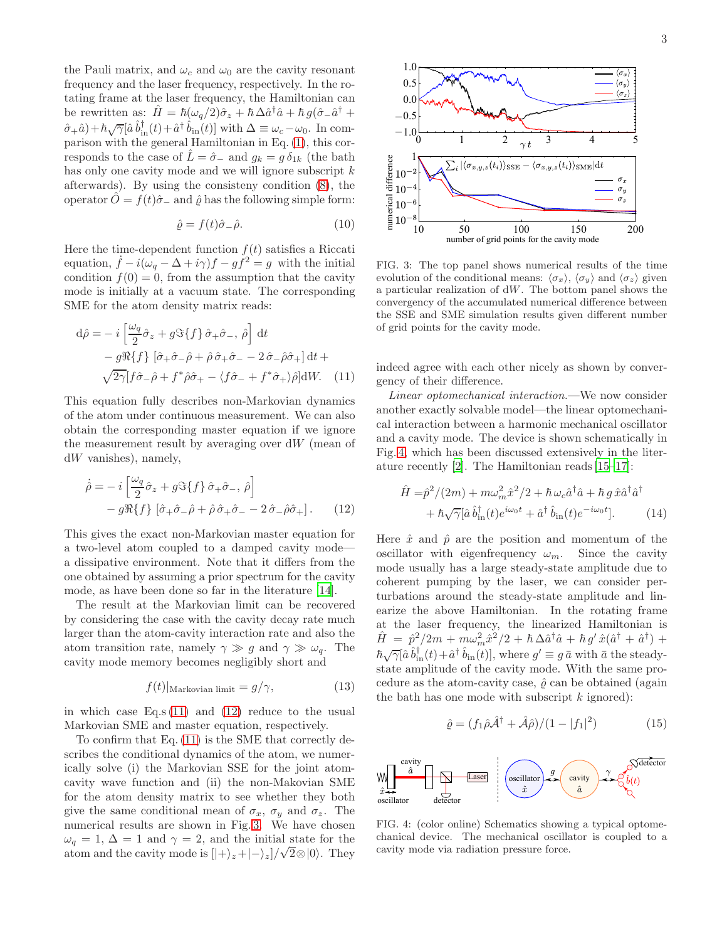the Pauli matrix, and  $\omega_c$  and  $\omega_0$  are the cavity resonant frequency and the laser frequency, respectively. In the rotating frame at the laser frequency, the Hamiltonian can be rewritten as:  $\hat{H} = \hbar(\omega_q/2)\hat{\sigma}_z + \hbar \Delta \hat{a}^\dagger \hat{a} + \hbar g(\hat{\sigma} - \hat{a}^\dagger + \hat{a}^\dagger \hat{a})$  $(\hat{\sigma}_+ \hat{a}) + \hbar \sqrt{\gamma} [\hat{a} \hat{b}_{in}^{\dagger}(t) + \hat{a}^{\dagger} \hat{b}_{in}(t)]$  with  $\Delta \equiv \omega_c - \omega_0$ . In comparison with the general Hamiltonian in Eq. [\(1\)](#page-0-1), this corresponds to the case of  $\hat{L} = \hat{\sigma}_-$  and  $g_k = g \, \delta_{1k}$  (the bath has only one cavity mode and we will ignore subscript  $k$ afterwards). By using the consisteny condition [\(8\)](#page-1-4), the operator  $\hat{O} = f(t)\hat{\sigma}_-$  and  $\hat{\rho}$  has the following simple form:

$$
\hat{\varrho} = f(t)\hat{\sigma}_{-}\hat{\rho}.\tag{10}
$$

Here the time-dependent function  $f(t)$  satisfies a Riccati equation,  $\dot{f} - i(\omega_q - \Delta + i\gamma)f - gf^2 = g$  with the initial condition  $f(0) = 0$ , from the assumption that the cavity mode is initially at a vacuum state. The corresponding SME for the atom density matrix reads:

$$
d\hat{\rho} = -i \left[ \frac{\omega_q}{2} \hat{\sigma}_z + g \Im\{f\} \, \hat{\sigma}_+ \hat{\sigma}_-, \, \hat{\rho} \right] dt - g \Re\{f\} \left[ \hat{\sigma}_+ \hat{\sigma}_- \hat{\rho} + \hat{\rho} \, \hat{\sigma}_+ \hat{\sigma}_- - 2 \, \hat{\sigma}_- \hat{\rho} \hat{\sigma}_+ \right] dt + \sqrt{2\gamma} \left[ f \hat{\sigma}_- \hat{\rho} + f^* \hat{\rho} \hat{\sigma}_+ - \langle f \hat{\sigma}_- + f^* \hat{\sigma}_+ \rangle \hat{\rho} \right] dW. \tag{11}
$$

This equation fully describes non-Markovian dynamics of the atom under continuous measurement. We can also obtain the corresponding master equation if we ignore the measurement result by averaging over  $dW$  (mean of dW vanishes), namely,

$$
\dot{\hat{\rho}} = -i \left[ \frac{\omega_q}{2} \hat{\sigma}_z + g \Im\{f\} \hat{\sigma}_+ \hat{\sigma}_-, \hat{\rho} \right] - g \Re\{f\} \left[ \hat{\sigma}_+ \hat{\sigma}_- \hat{\rho} + \hat{\rho} \hat{\sigma}_+ \hat{\sigma}_- - 2 \hat{\sigma}_- \hat{\rho} \hat{\sigma}_+ \right].
$$
 (12)

This gives the exact non-Markovian master equation for a two-level atom coupled to a damped cavity mode a dissipative environment. Note that it differs from the one obtained by assuming a prior spectrum for the cavity mode, as have been done so far in the literature [\[14\]](#page-4-0).

The result at the Markovian limit can be recovered by considering the case with the cavity decay rate much larger than the atom-cavity interaction rate and also the atom transition rate, namely  $\gamma \gg g$  and  $\gamma \gg \omega_q$ . The cavity mode memory becomes negligibly short and

$$
f(t)|_{\text{Markovian limit}} = g/\gamma,\tag{13}
$$

in which case  $Eq.s (11)$  $Eq.s (11)$  and  $(12)$  reduce to the usual Markovian SME and master equation, respectively.

To confirm that Eq. [\(11\)](#page-2-0) is the SME that correctly describes the conditional dynamics of the atom, we numerically solve (i) the Markovian SSE for the joint atomcavity wave function and (ii) the non-Makovian SME for the atom density matrix to see whether they both give the same conditional mean of  $\sigma_x$ ,  $\sigma_y$  and  $\sigma_z$ . The numerical results are shown in Fig. [3.](#page-2-2) We have chosen  $\omega_q = 1, \Delta = 1$  and  $\gamma = 2$ , and the initial state for the atom and the cavity mode is  $[|+\rangle_z + |-\rangle_z]/\sqrt{2} \otimes |0\rangle$ . They



<span id="page-2-2"></span>FIG. 3: The top panel shows numerical results of the time evolution of the conditional means:  $\langle \sigma_x \rangle$ ,  $\langle \sigma_y \rangle$  and  $\langle \sigma_z \rangle$  given a particular realization of dW. The bottom panel shows the convergency of the accumulated numerical difference between the SSE and SME simulation results given different number of grid points for the cavity mode.

<span id="page-2-0"></span>indeed agree with each other nicely as shown by convergency of their difference.

Linear optomechanical interaction.—We now consider another exactly solvable model—the linear optomechanical interaction between a harmonic mechanical oscillator and a cavity mode. The device is shown schematically in Fig. [4,](#page-2-3) which has been discussed extensively in the literature recently [\[2\]](#page-3-1). The Hamiltonian reads [\[15](#page-4-1)[–17](#page-4-2)]:

$$
\hat{H} = \hat{p}^2/(2m) + m\omega_m^2 \hat{x}^2/2 + \hbar \omega_c \hat{a}^\dagger \hat{a} + \hbar g \,\hat{x} \hat{a}^\dagger \hat{a}^\dagger \n+ \hbar \sqrt{\gamma} [\hat{a} \,\hat{b}_{\rm in}^\dagger(t)e^{i\omega_0 t} + \hat{a}^\dagger \,\hat{b}_{\rm in}(t)e^{-i\omega_0 t}].
$$
\n(14)

<span id="page-2-1"></span>Here  $\hat{x}$  and  $\hat{p}$  are the position and momentum of the oscillator with eigenfrequency  $\omega_m$ . Since the cavity mode usually has a large steady-state amplitude due to coherent pumping by the laser, we can consider perturbations around the steady-state amplitude and linearize the above Hamiltonian. In the rotating frame at the laser frequency, the linearized Hamiltonian is  $\hat{H} = \hat{p}^2/2m + m\omega_m^2 \hat{x}^2/2 + \hbar \Delta \hat{a}^\dagger \hat{a} + \hbar g' \hat{x} (\hat{a}^\dagger + \hat{a}^\dagger) +$  $\hbar \sqrt{\gamma} [\hat{a} \,\hat{b}^{\dagger}_{\text{in}}(t) + \hat{a}^{\dagger} \,\hat{b}_{\text{in}}(t)],$  where  $g' \equiv g \,\bar{a}$  with  $\bar{a}$  the steadystate amplitude of the cavity mode. With the same procedure as the atom-cavity case,  $\hat{\rho}$  can be obtained (again the bath has one mode with subscript  $k$  ignored):

$$
\hat{\varrho} = (f_1 \hat{\rho} \hat{\mathcal{A}}^{\dagger} + \hat{\mathcal{A}} \hat{\rho})/(1 - |f_1|^2)
$$
 (15)



<span id="page-2-3"></span>FIG. 4: (color online) Schematics showing a typical optomechanical device. The mechanical oscillator is coupled to a cavity mode via radiation pressure force.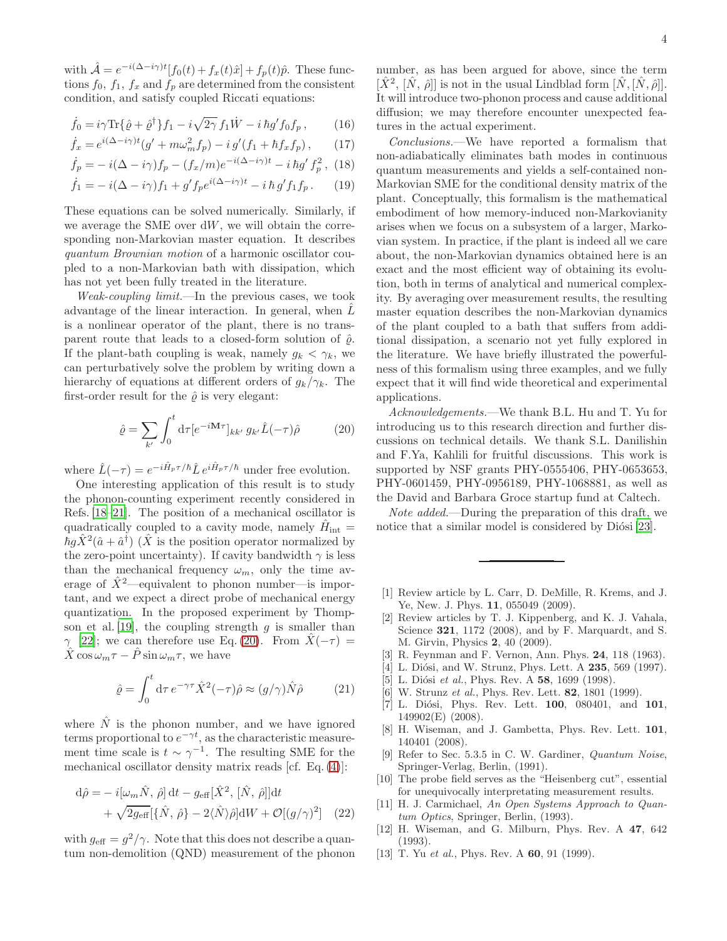with  $\hat{\mathcal{A}} = e^{-i(\Delta - i\gamma)t} [f_0(t) + f_x(t)\hat{x}] + f_p(t)\hat{p}$ . These functions  $f_0$ ,  $f_1$ ,  $f_x$  and  $f_p$  are determined from the consistent condition, and satisfy coupled Riccati equations:

$$
\dot{f}_0 = i\gamma \text{Tr}\{\hat{\varrho} + \hat{\varrho}^\dagger\} f_1 - i\sqrt{2\gamma} f_1 \dot{W} - i\,\hbar g' f_0 f_p, \qquad (16)
$$

$$
\dot{f}_x = e^{i(\Delta - i\gamma)t} (g' + m\omega_m^2 f_p) - i g'(f_1 + \hbar f_x f_p), \qquad (17)
$$

$$
\dot{f}_p = -i(\Delta - i\gamma)f_p - (f_x/m)e^{-i(\Delta - i\gamma)t} - i\,\hbar g' f_p^2 \,, \tag{18}
$$

$$
\dot{f}_1 = -i(\Delta - i\gamma)f_1 + g'f_p e^{i(\Delta - i\gamma)t} - i\,\hbar\,g' f_1 f_p. \tag{19}
$$

These equations can be solved numerically. Similarly, if we average the SME over  $dW$ , we will obtain the corresponding non-Markovian master equation. It describes quantum Brownian motion of a harmonic oscillator coupled to a non-Markovian bath with dissipation, which has not yet been fully treated in the literature.

Weak-coupling limit.—In the previous cases, we took advantage of the linear interaction. In general, when  $L$ is a nonlinear operator of the plant, there is no transparent route that leads to a closed-form solution of  $\hat{\rho}$ . If the plant-bath coupling is weak, namely  $g_k < \gamma_k$ , we can perturbatively solve the problem by writing down a hierarchy of equations at different orders of  $g_k/\gamma_k$ . The first-order result for the  $\hat{\varrho}$  is very elegant:

<span id="page-3-12"></span>
$$
\hat{\varrho} = \sum_{k'} \int_0^t \mathrm{d}\tau [e^{-i\mathbf{M}\tau}]_{kk'} g_{k'} \hat{L}(-\tau)\hat{\rho}
$$
 (20)

where  $\hat{L}(-\tau) = e^{-i\hat{H}_p \tau/\hbar} \hat{L} e^{i\hat{H}_p \tau/\hbar}$  under free evolution.

One interesting application of this result is to study the phonon-counting experiment recently considered in Refs. [\[18](#page-4-3)[–21\]](#page-4-4). The position of a mechanical oscillator is quadratically coupled to a cavity mode, namely  $\hat{H}_{\text{int}} =$  $\hbar g \hat{X}^2 (\hat{a} + \hat{a}^{\dagger})$  ( $\hat{X}$  is the position operator normalized by the zero-point uncertainty). If cavity bandwidth  $\gamma$  is less than the mechanical frequency  $\omega_m$ , only the time average of  $\hat{X}^2$ —equivalent to phonon number—is important, and we expect a direct probe of mechanical energy quantization. In the proposed experiment by Thomp-son et al. [\[19](#page-4-5)], the coupling strength  $q$  is smaller than  $\gamma$  [\[22\]](#page-4-6); we can therefore use Eq. [\(20\)](#page-3-12). From  $\hat{X}(-\tau)$  =  $\hat{X}$  cos  $\omega_m \tau - \hat{P} \sin \omega_m \tau$ , we have

$$
\hat{\varrho} = \int_0^t \mathrm{d}\tau \, e^{-\gamma \tau} \hat{X}^2(-\tau) \hat{\rho} \approx (g/\gamma) \hat{N} \hat{\rho} \tag{21}
$$

where  $\hat{N}$  is the phonon number, and we have ignored terms proportional to  $e^{-\gamma t}$ , as the characteristic measurement time scale is  $t \sim \gamma^{-1}$ . The resulting SME for the mechanical oscillator density matrix reads [cf. Eq. [\(4\)](#page-1-1)]:

$$
d\hat{\rho} = -i[\omega_m \hat{N}, \hat{\rho}] dt - g_{\text{eff}}[\hat{X}^2, [\hat{N}, \hat{\rho}]] dt + \sqrt{2g_{\text{eff}}}[\{\hat{N}, \hat{\rho}\} - 2\langle \hat{N} \rangle \hat{\rho}] dW + \mathcal{O}[(g/\gamma)^2]
$$
(22)

with  $g_{\text{eff}} = g^2/\gamma$ . Note that this does not describe a quantum non-demolition (QND) measurement of the phonon number, as has been argued for above, since the term  $[\hat{X}^2, [\hat{N}, \hat{\rho}]]$  is not in the usual Lindblad form  $[\hat{N}, [\hat{N}, \hat{\rho}]]$ . It will introduce two-phonon process and cause additional diffusion; we may therefore encounter unexpected features in the actual experiment.

Conclusions.—We have reported a formalism that non-adiabatically eliminates bath modes in continuous quantum measurements and yields a self-contained non-Markovian SME for the conditional density matrix of the plant. Conceptually, this formalism is the mathematical embodiment of how memory-induced non-Markovianity arises when we focus on a subsystem of a larger, Markovian system. In practice, if the plant is indeed all we care about, the non-Markovian dynamics obtained here is an exact and the most efficient way of obtaining its evolution, both in terms of analytical and numerical complexity. By averaging over measurement results, the resulting master equation describes the non-Markovian dynamics of the plant coupled to a bath that suffers from additional dissipation, a scenario not yet fully explored in the literature. We have briefly illustrated the powerfulness of this formalism using three examples, and we fully expect that it will find wide theoretical and experimental applications.

Acknowledgements.—We thank B.L. Hu and T. Yu for introducing us to this research direction and further discussions on technical details. We thank S.L. Danilishin and F.Ya, Kahlili for fruitful discussions. This work is supported by NSF grants PHY-0555406, PHY-0653653, PHY-0601459, PHY-0956189, PHY-1068881, as well as the David and Barbara Groce startup fund at Caltech.

Note added.—During the preparation of this draft, we notice that a similar model is considered by Diósi [\[23\]](#page-4-7).

- <span id="page-3-0"></span>[1] Review article by L. Carr, D. DeMille, R. Krems, and J. Ye, New. J. Phys. **11**, 055049 (2009).
- <span id="page-3-1"></span>[2] Review articles by T. J. Kippenberg, and K. J. Vahala, Science 321, 1172 (2008), and by F. Marquardt, and S. M. Girvin, Physics 2, 40 (2009).
- <span id="page-3-2"></span>[3] R. Feynman and F. Vernon, Ann. Phys. 24, 118 (1963).
- <span id="page-3-3"></span>[4] L. Diósi, and W. Strunz, Phys. Lett. A **235**, 569 (1997).
- [5] L. Diósi et al., Phys. Rev. A 58, 1699 (1998).
- <span id="page-3-4"></span>[6] W. Strunz et al., Phys. Rev. Lett. **82**, 1801 (1999).
- <span id="page-3-5"></span>[7] L. Diósi, Phys. Rev. Lett.  $100$ ,  $080401$ , and  $101$ , 149902(E) (2008).
- <span id="page-3-6"></span>[8] H. Wiseman, and J. Gambetta, Phys. Rev. Lett. 101, 140401 (2008).
- <span id="page-3-7"></span>[9] Refer to Sec. 5.3.5 in C. W. Gardiner, Quantum Noise, Springer-Verlag, Berlin, (1991).
- <span id="page-3-8"></span>[10] The probe field serves as the "Heisenberg cut", essential for unequivocally interpretating measurement results.
- <span id="page-3-9"></span>[11] H. J. Carmichael, An Open Systems Approach to Quantum Optics, Springer, Berlin, (1993).
- <span id="page-3-10"></span>[12] H. Wiseman, and G. Milburn, Phys. Rev. A 47, 642 (1993).
- <span id="page-3-11"></span>[13] T. Yu et al., Phys. Rev. A **60**, 91 (1999).